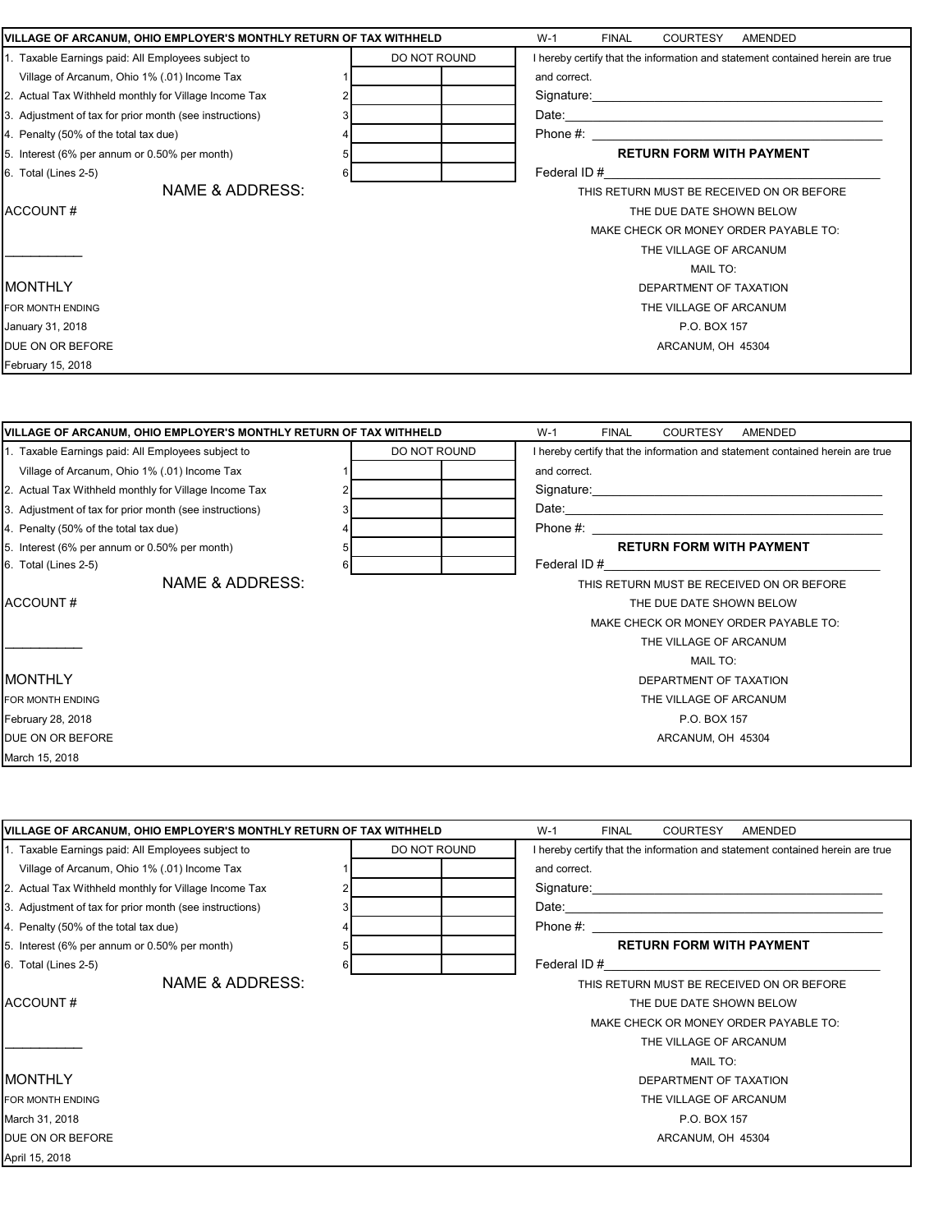| VILLAGE OF ARCANUM, OHIO EMPLOYER'S MONTHLY RETURN OF TAX WITHHELD |              | $W-1$<br><b>FINAL</b><br>COURTESY AMENDED                                                                                                                                                                                      |
|--------------------------------------------------------------------|--------------|--------------------------------------------------------------------------------------------------------------------------------------------------------------------------------------------------------------------------------|
| 1. Taxable Earnings paid: All Employees subject to                 | DO NOT ROUND | I hereby certify that the information and statement contained herein are true                                                                                                                                                  |
| Village of Arcanum, Ohio 1% (.01) Income Tax                       |              | and correct.                                                                                                                                                                                                                   |
| 2. Actual Tax Withheld monthly for Village Income Tax              |              |                                                                                                                                                                                                                                |
| 3. Adjustment of tax for prior month (see instructions)            |              |                                                                                                                                                                                                                                |
| 4. Penalty (50% of the total tax due)                              |              |                                                                                                                                                                                                                                |
| 5. Interest (6% per annum or 0.50% per month)                      |              | <b>RETURN FORM WITH PAYMENT</b>                                                                                                                                                                                                |
| 6. Total (Lines 2-5)                                               | 6            | Federal ID#                                                                                                                                                                                                                    |
| <b>NAME &amp; ADDRESS:</b>                                         |              | THIS RETURN MUST BE RECEIVED ON OR BEFORE                                                                                                                                                                                      |
| ACCOUNT#                                                           |              | THE DUE DATE SHOWN BELOW                                                                                                                                                                                                       |
|                                                                    |              | MAKE CHECK OR MONEY ORDER PAYABLE TO:                                                                                                                                                                                          |
|                                                                    |              | THE VILLAGE OF ARCANUM                                                                                                                                                                                                         |
|                                                                    |              | <b>MAIL TO:</b>                                                                                                                                                                                                                |
| <b>MONTHLY</b>                                                     |              | DEPARTMENT OF TAXATION                                                                                                                                                                                                         |
| FOR MONTH ENDING                                                   |              | THE VILLAGE OF ARCANUM                                                                                                                                                                                                         |
| January 31, 2018                                                   |              | P.O. BOX 157                                                                                                                                                                                                                   |
| DUE ON OR BEFORE                                                   |              | ARCANUM, OH 45304                                                                                                                                                                                                              |
| February 15, 2018                                                  |              |                                                                                                                                                                                                                                |
| VILLAGE OF ARCANUM, OHIO EMPLOYER'S MONTHLY RETURN OF TAX WITHHELD |              | $W-1$<br><b>FINAL</b><br>COURTESY<br>AMENDED                                                                                                                                                                                   |
| 1. Taxable Earnings paid: All Employees subject to                 | DO NOT ROUND | I hereby certify that the information and statement contained herein are true                                                                                                                                                  |
| Village of Arcanum, Ohio 1% (.01) Income Tax                       |              | and correct.                                                                                                                                                                                                                   |
| 2. Actual Tax Withheld monthly for Village Income Tax              |              |                                                                                                                                                                                                                                |
| 3. Adjustment of tax for prior month (see instructions)            |              |                                                                                                                                                                                                                                |
| 4. Penalty (50% of the total tax due)                              |              |                                                                                                                                                                                                                                |
| 5. Interest (6% per annum or 0.50% per month)                      |              | <b>RETURN FORM WITH PAYMENT</b>                                                                                                                                                                                                |
| 6. Total (Lines 2-5)                                               |              | Federal ID # 2003 and 2004 and 2006 and 2006 and 2007 and 2008 and 2008 and 2008 and 2008 and 2008 and 2008 and 2008 and 2008 and 2008 and 2008 and 2008 and 2008 and 2008 and 2008 and 2008 and 2008 and 2008 and 2008 and 20 |
| NAME & ADDRESS:                                                    |              | THIS RETURN MUST BE RECEIVED ON OR BEFORE                                                                                                                                                                                      |
| ACCOUNT#                                                           |              | THE DUE DATE SHOWN BELOW                                                                                                                                                                                                       |
|                                                                    |              | MAKE CHECK OR MONEY ORDER PAYABLE TO:                                                                                                                                                                                          |
|                                                                    |              | THE VILLAGE OF ARCANUM                                                                                                                                                                                                         |
|                                                                    |              | <b>MAIL TO:</b>                                                                                                                                                                                                                |
| <b>MONTHLY</b>                                                     |              | DEPARTMENT OF TAXATION                                                                                                                                                                                                         |
| FOR MONTH ENDING                                                   |              | THE VILLAGE OF ARCANUM                                                                                                                                                                                                         |
| February 28, 2018                                                  |              | P.O. BOX 157                                                                                                                                                                                                                   |
| DUE ON OR BEFORE                                                   |              | ARCANUM, OH 45304                                                                                                                                                                                                              |
| March 15, 2018                                                     |              |                                                                                                                                                                                                                                |

| VILLAGE OF ARCANUM, OHIO EMPLOYER'S MONTHLY RETURN OF TAX WITHHELD |   |              | $W-1$<br><b>FINAL</b><br><b>COURTESY</b><br>AMENDED                                                                                                                                                                            |
|--------------------------------------------------------------------|---|--------------|--------------------------------------------------------------------------------------------------------------------------------------------------------------------------------------------------------------------------------|
| 1. Taxable Earnings paid: All Employees subject to                 |   | DO NOT ROUND | I hereby certify that the information and statement contained herein are true                                                                                                                                                  |
| Village of Arcanum, Ohio 1% (.01) Income Tax                       |   |              | and correct.                                                                                                                                                                                                                   |
| 2. Actual Tax Withheld monthly for Village Income Tax              |   |              |                                                                                                                                                                                                                                |
| 3. Adjustment of tax for prior month (see instructions)            |   |              |                                                                                                                                                                                                                                |
| 4. Penalty (50% of the total tax due)                              |   |              | Phone #: the state of the state of the state of the state of the state of the state of the state of the state of the state of the state of the state of the state of the state of the state of the state of the state of the s |
| 5. Interest (6% per annum or 0.50% per month)                      | 5 |              | <b>RETURN FORM WITH PAYMENT</b>                                                                                                                                                                                                |
| 6. Total (Lines 2-5)                                               | 6 |              |                                                                                                                                                                                                                                |
| NAME & ADDRESS:                                                    |   |              | THIS RETURN MUST BE RECEIVED ON OR BEFORE                                                                                                                                                                                      |
| ACCOUNT#                                                           |   |              | THE DUE DATE SHOWN BELOW                                                                                                                                                                                                       |
|                                                                    |   |              | MAKE CHECK OR MONEY ORDER PAYABLE TO:                                                                                                                                                                                          |
|                                                                    |   |              | THE VILLAGE OF ARCANUM                                                                                                                                                                                                         |
|                                                                    |   |              | MAIL TO:                                                                                                                                                                                                                       |
| IMONTHLY                                                           |   |              | DEPARTMENT OF TAXATION                                                                                                                                                                                                         |
| FOR MONTH ENDING                                                   |   |              | THE VILLAGE OF ARCANUM                                                                                                                                                                                                         |
| March 31, 2018                                                     |   |              | P.O. BOX 157                                                                                                                                                                                                                   |
| DUE ON OR BEFORE                                                   |   |              | ARCANUM, OH 45304                                                                                                                                                                                                              |
| April 15, 2018                                                     |   |              |                                                                                                                                                                                                                                |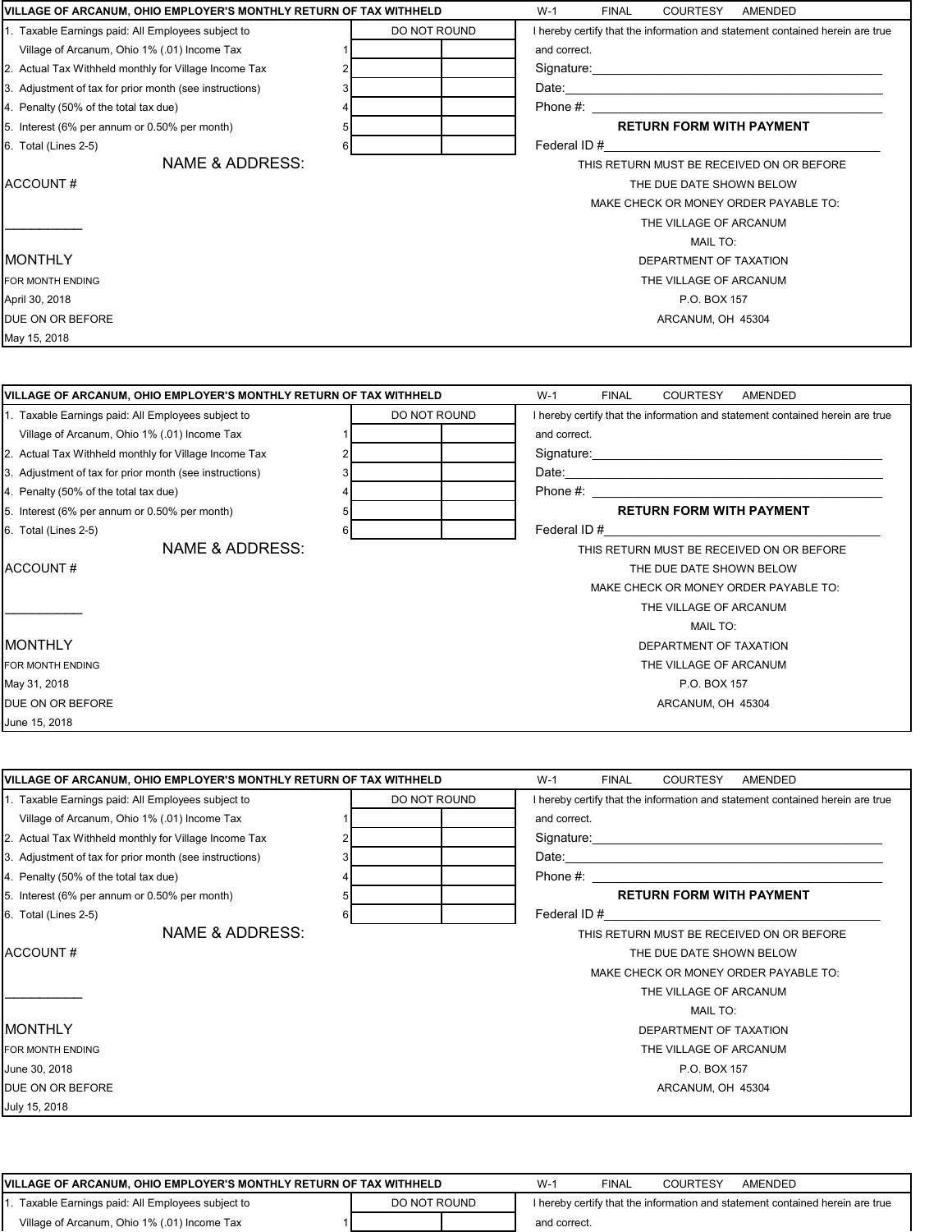| VILLAGE OF ARCANUM, OHIO EMPLOYER'S MONTHLY RETURN OF TAX WITHHELD |   |              | $W-1$<br><b>COURTESY</b><br><b>FINAL</b><br>AMENDED                                                                                                                                                                            |
|--------------------------------------------------------------------|---|--------------|--------------------------------------------------------------------------------------------------------------------------------------------------------------------------------------------------------------------------------|
| 1. Taxable Earnings paid: All Employees subject to                 |   | DO NOT ROUND | I hereby certify that the information and statement contained herein are true                                                                                                                                                  |
| Village of Arcanum, Ohio 1% (.01) Income Tax                       |   |              | and correct.                                                                                                                                                                                                                   |
| 2. Actual Tax Withheld monthly for Village Income Tax              |   |              | Signature: the contract of the contract of the contract of the contract of the contract of the contract of the contract of the contract of the contract of the contract of the contract of the contract of the contract of the |
| 3. Adjustment of tax for prior month (see instructions)            |   |              |                                                                                                                                                                                                                                |
| 4. Penalty (50% of the total tax due)                              |   |              | Phone #: the state of the state of the state of the state of the state of the state of the state of the state of the state of the state of the state of the state of the state of the state of the state of the state of the s |
| 5. Interest (6% per annum or 0.50% per month)                      |   |              | <b>RETURN FORM WITH PAYMENT</b>                                                                                                                                                                                                |
| 6. Total (Lines 2-5)                                               | 6 |              | Federal ID#                                                                                                                                                                                                                    |
| NAME & ADDRESS:                                                    |   |              | THIS RETURN MUST BE RECEIVED ON OR BEFORE                                                                                                                                                                                      |
| ACCOUNT#                                                           |   |              | THE DUE DATE SHOWN BELOW                                                                                                                                                                                                       |
|                                                                    |   |              | MAKE CHECK OR MONEY ORDER PAYABLE TO:                                                                                                                                                                                          |
|                                                                    |   |              | THE VILLAGE OF ARCANUM                                                                                                                                                                                                         |
|                                                                    |   |              | <b>MAIL TO:</b>                                                                                                                                                                                                                |
| <b>MONTHLY</b>                                                     |   |              | DEPARTMENT OF TAXATION                                                                                                                                                                                                         |
| FOR MONTH ENDING                                                   |   |              | THE VILLAGE OF ARCANUM                                                                                                                                                                                                         |
| April 30, 2018                                                     |   |              | P.O. BOX 157                                                                                                                                                                                                                   |
| DUE ON OR BEFORE                                                   |   |              | ARCANUM, OH 45304                                                                                                                                                                                                              |
| May 15, 2018                                                       |   |              |                                                                                                                                                                                                                                |

| VILLAGE OF ARCANUM, OHIO EMPLOYER'S MONTHLY RETURN OF TAX WITHHELD |              |  |              | <b>FINAL</b> | <b>COURTESY</b>                 | AMENDED                                                                                                                                                                                                                        |
|--------------------------------------------------------------------|--------------|--|--------------|--------------|---------------------------------|--------------------------------------------------------------------------------------------------------------------------------------------------------------------------------------------------------------------------------|
| 1. Taxable Earnings paid: All Employees subject to                 | DO NOT ROUND |  |              |              |                                 | I hereby certify that the information and statement contained herein are true                                                                                                                                                  |
| Village of Arcanum, Ohio 1% (.01) Income Tax                       |              |  | and correct. |              |                                 |                                                                                                                                                                                                                                |
| 2. Actual Tax Withheld monthly for Village Income Tax              |              |  |              |              |                                 | Signature: the contract of the contract of the contract of the contract of the contract of the contract of the contract of the contract of the contract of the contract of the contract of the contract of the contract of the |
| 3. Adjustment of tax for prior month (see instructions)            |              |  |              |              |                                 |                                                                                                                                                                                                                                |
| 4. Penalty (50% of the total tax due)                              |              |  |              |              |                                 | Phone #: the state of the state of the state of the state of the state of the state of the state of the state of the state of the state of the state of the state of the state of the state of the state of the state of the s |
| 5. Interest (6% per annum or 0.50% per month)                      |              |  |              |              | <b>RETURN FORM WITH PAYMENT</b> |                                                                                                                                                                                                                                |
| 6. Total (Lines 2-5)                                               |              |  | Federal ID#  |              |                                 |                                                                                                                                                                                                                                |
| NAME & ADDRESS:                                                    |              |  |              |              |                                 | THIS RETURN MUST BE RECEIVED ON OR BEFORE                                                                                                                                                                                      |
| ACCOUNT#                                                           |              |  |              |              | THE DUE DATE SHOWN BELOW        |                                                                                                                                                                                                                                |
|                                                                    |              |  |              |              |                                 | MAKE CHECK OR MONEY ORDER PAYABLE TO:                                                                                                                                                                                          |
|                                                                    |              |  |              |              | THE VILLAGE OF ARCANUM          |                                                                                                                                                                                                                                |
|                                                                    |              |  |              |              | MAIL TO:                        |                                                                                                                                                                                                                                |
| IMONTHLY                                                           |              |  |              |              | DEPARTMENT OF TAXATION          |                                                                                                                                                                                                                                |
| FOR MONTH ENDING                                                   |              |  |              |              | THE VILLAGE OF ARCANUM          |                                                                                                                                                                                                                                |
| May 31, 2018                                                       |              |  |              |              | P.O. BOX 157                    |                                                                                                                                                                                                                                |
| DUE ON OR BEFORE                                                   |              |  |              |              | ARCANUM, OH 45304               |                                                                                                                                                                                                                                |
| June 15, 2018                                                      |              |  |              |              |                                 |                                                                                                                                                                                                                                |

| VILLAGE OF ARCANUM, OHIO EMPLOYER'S MONTHLY RETURN OF TAX WITHHELD |   |              | $W-1$<br><b>FINAL</b><br><b>COURTESY</b><br>AMENDED                                                                                                                                                                            |
|--------------------------------------------------------------------|---|--------------|--------------------------------------------------------------------------------------------------------------------------------------------------------------------------------------------------------------------------------|
| 1. Taxable Earnings paid: All Employees subject to                 |   | DO NOT ROUND | I hereby certify that the information and statement contained herein are true                                                                                                                                                  |
| Village of Arcanum, Ohio 1% (.01) Income Tax                       |   |              | and correct.                                                                                                                                                                                                                   |
| 2. Actual Tax Withheld monthly for Village Income Tax              |   |              | Signature: the contract of the contract of the contract of the contract of the contract of the contract of the contract of the contract of the contract of the contract of the contract of the contract of the contract of the |
| 3. Adjustment of tax for prior month (see instructions)            |   |              | Date: 2008. 2009. 2010. 2010. 2010. 2010. 2010. 2010. 2010. 2010. 2010. 2010. 2010. 2010. 2010. 2010. 2010. 20                                                                                                                 |
| 4. Penalty (50% of the total tax due)                              |   |              | Phone #:                                                                                                                                                                                                                       |
| 5. Interest (6% per annum or 0.50% per month)                      |   |              | <b>RETURN FORM WITH PAYMENT</b>                                                                                                                                                                                                |
| 6. Total (Lines 2-5)                                               | 6 |              | Federal ID#                                                                                                                                                                                                                    |
| NAME & ADDRESS:                                                    |   |              | THIS RETURN MUST BE RECEIVED ON OR BEFORE                                                                                                                                                                                      |
| ACCOUNT#                                                           |   |              | THE DUE DATE SHOWN BELOW                                                                                                                                                                                                       |
|                                                                    |   |              | MAKE CHECK OR MONEY ORDER PAYABLE TO:                                                                                                                                                                                          |
|                                                                    |   |              | THE VILLAGE OF ARCANUM                                                                                                                                                                                                         |
|                                                                    |   |              | <b>MAIL TO:</b>                                                                                                                                                                                                                |
| <b>IMONTHLY</b>                                                    |   |              | DEPARTMENT OF TAXATION                                                                                                                                                                                                         |
| FOR MONTH ENDING                                                   |   |              | THE VILLAGE OF ARCANUM                                                                                                                                                                                                         |
| June 30, 2018                                                      |   |              | P.O. BOX 157                                                                                                                                                                                                                   |
| DUE ON OR BEFORE                                                   |   |              | ARCANUM, OH 45304                                                                                                                                                                                                              |
| July 15, 2018                                                      |   |              |                                                                                                                                                                                                                                |

| <br>10, 2010 |  |  |
|--------------|--|--|
|              |  |  |
|              |  |  |
|              |  |  |

| VILLAGE OF ARCANUM. OHIO EMPLOYER'S MONTHLY RETURN OF TAX WITHHELD | $W-1$        | FINAL | COURTESY     | AMENDED |  |                                                                               |  |
|--------------------------------------------------------------------|--------------|-------|--------------|---------|--|-------------------------------------------------------------------------------|--|
| Taxable Earnings paid: All Employees subject to                    | DO NOT ROUND |       |              |         |  | I hereby certify that the information and statement contained herein are true |  |
| Village of Arcanum, Ohio 1% (.01) Income Tax                       |              |       | and correct. |         |  |                                                                               |  |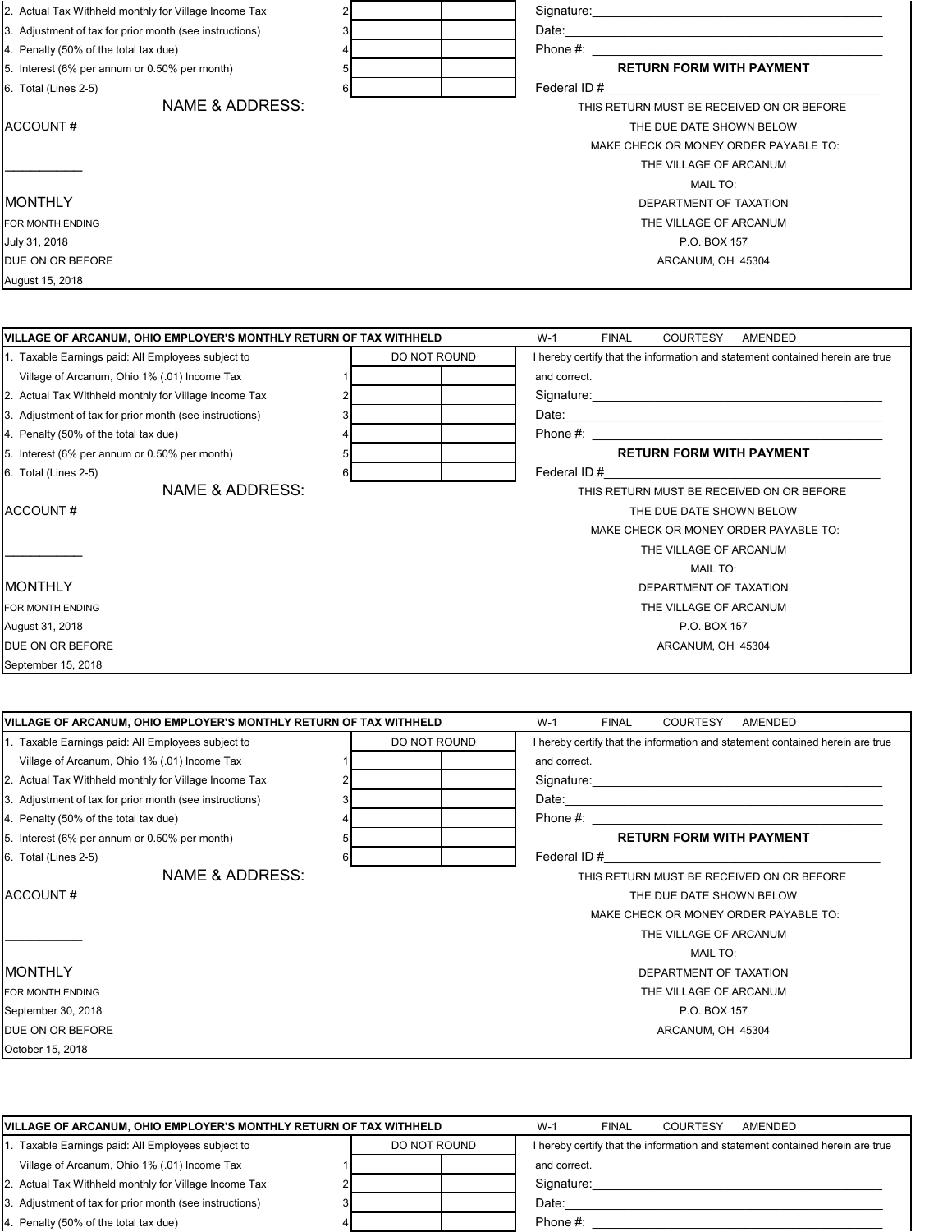| 2. Actual Tax Withheld monthly for Village Income Tax   | Signature:                                |
|---------------------------------------------------------|-------------------------------------------|
| 3. Adjustment of tax for prior month (see instructions) | Date:                                     |
| 4. Penalty (50% of the total tax due)                   | Phone #:                                  |
| 5. Interest (6% per annum or 0.50% per month)           | <b>RETURN FORM WITH PAYMENT</b>           |
| 6. Total (Lines 2-5)                                    | Federal ID#                               |
| NAME & ADDRESS:                                         | THIS RETURN MUST BE RECEIVED ON OR BEFORE |
| ACCOUNT#                                                | THE DUE DATE SHOWN BELOW                  |
|                                                         | MAKE CHECK OR MONEY ORDER PAYABLE TO:     |
|                                                         | THE VILLAGE OF ARCANUM                    |
|                                                         | <b>MAIL TO:</b>                           |
| <b>MONTHLY</b>                                          | DEPARTMENT OF TAXATION                    |
| FOR MONTH ENDING                                        | THE VILLAGE OF ARCANUM                    |
| July 31, 2018                                           | P.O. BOX 157                              |
| <b>DUE ON OR BEFORE</b>                                 | ARCANUM, OH 45304                         |
| August 15, 2018                                         |                                           |

| VILLAGE OF ARCANUM, OHIO EMPLOYER'S MONTHLY RETURN OF TAX WITHHELD |   |              | $W-1$<br><b>FINAL</b><br><b>COURTESY</b><br>AMENDED                                                                                                                                                                            |
|--------------------------------------------------------------------|---|--------------|--------------------------------------------------------------------------------------------------------------------------------------------------------------------------------------------------------------------------------|
| 1. Taxable Earnings paid: All Employees subject to                 |   | DO NOT ROUND | I hereby certify that the information and statement contained herein are true                                                                                                                                                  |
| Village of Arcanum, Ohio 1% (.01) Income Tax                       |   |              | and correct.                                                                                                                                                                                                                   |
| 2. Actual Tax Withheld monthly for Village Income Tax              |   |              | Signature: experience and the state of the state of the state of the state of the state of the state of the state of the state of the state of the state of the state of the state of the state of the state of the state of t |
| 3. Adjustment of tax for prior month (see instructions)            |   |              |                                                                                                                                                                                                                                |
| 4. Penalty (50% of the total tax due)                              |   |              |                                                                                                                                                                                                                                |
| 5. Interest (6% per annum or 0.50% per month)                      |   |              | <b>RETURN FORM WITH PAYMENT</b>                                                                                                                                                                                                |
| 6. Total (Lines 2-5)                                               | 6 |              |                                                                                                                                                                                                                                |
| NAME & ADDRESS:                                                    |   |              | THIS RETURN MUST BE RECEIVED ON OR BEFORE                                                                                                                                                                                      |
| ACCOUNT#                                                           |   |              | THE DUE DATE SHOWN BELOW                                                                                                                                                                                                       |
|                                                                    |   |              | MAKE CHECK OR MONEY ORDER PAYABLE TO:                                                                                                                                                                                          |
|                                                                    |   |              | THE VILLAGE OF ARCANUM                                                                                                                                                                                                         |
|                                                                    |   |              | <b>MAIL TO:</b>                                                                                                                                                                                                                |
| IMONTHLY                                                           |   |              | DEPARTMENT OF TAXATION                                                                                                                                                                                                         |
| FOR MONTH ENDING                                                   |   |              | THE VILLAGE OF ARCANUM                                                                                                                                                                                                         |
| August 31, 2018                                                    |   |              | P.O. BOX 157                                                                                                                                                                                                                   |
| DUE ON OR BEFORE                                                   |   |              | ARCANUM, OH 45304                                                                                                                                                                                                              |
| September 15, 2018                                                 |   |              |                                                                                                                                                                                                                                |

| VILLAGE OF ARCANUM, OHIO EMPLOYER'S MONTHLY RETURN OF TAX WITHHELD |              | $W-1$<br><b>COURTESY</b><br>AMENDED<br><b>FINAL</b>                                                                                                                                                                            |
|--------------------------------------------------------------------|--------------|--------------------------------------------------------------------------------------------------------------------------------------------------------------------------------------------------------------------------------|
| 1. Taxable Earnings paid: All Employees subject to                 | DO NOT ROUND | I hereby certify that the information and statement contained herein are true                                                                                                                                                  |
| Village of Arcanum, Ohio 1% (.01) Income Tax                       |              | and correct.                                                                                                                                                                                                                   |
| 2. Actual Tax Withheld monthly for Village Income Tax              |              | Signature: the contract of the contract of the contract of the contract of the contract of the contract of the contract of the contract of the contract of the contract of the contract of the contract of the contract of the |
| 3. Adjustment of tax for prior month (see instructions)            |              | Date:                                                                                                                                                                                                                          |
| 4. Penalty (50% of the total tax due)                              |              |                                                                                                                                                                                                                                |
| 5. Interest (6% per annum or 0.50% per month)                      |              | <b>RETURN FORM WITH PAYMENT</b>                                                                                                                                                                                                |
| 6. Total (Lines 2-5)                                               | 6            | Federal ID#                                                                                                                                                                                                                    |
| NAME & ADDRESS:                                                    |              | THIS RETURN MUST BE RECEIVED ON OR BEFORE                                                                                                                                                                                      |
| ACCOUNT#                                                           |              | THE DUE DATE SHOWN BELOW                                                                                                                                                                                                       |
|                                                                    |              | MAKE CHECK OR MONEY ORDER PAYABLE TO:                                                                                                                                                                                          |
|                                                                    |              | THE VILLAGE OF ARCANUM                                                                                                                                                                                                         |
|                                                                    |              | <b>MAIL TO:</b>                                                                                                                                                                                                                |
| <b>MONTHLY</b>                                                     |              | DEPARTMENT OF TAXATION                                                                                                                                                                                                         |
| FOR MONTH ENDING                                                   |              | THE VILLAGE OF ARCANUM                                                                                                                                                                                                         |
| September 30, 2018                                                 |              | P.O. BOX 157                                                                                                                                                                                                                   |
| DUE ON OR BEFORE                                                   |              | ARCANUM, OH 45304                                                                                                                                                                                                              |
| October 15, 2018                                                   |              |                                                                                                                                                                                                                                |

| VILLAGE OF ARCANUM, OHIO EMPLOYER'S MONTHLY RETURN OF TAX WITHHELD | $W-1$        | <b>FINAL</b> | <b>COURTESY</b> | AMENDED |  |                                                                               |
|--------------------------------------------------------------------|--------------|--------------|-----------------|---------|--|-------------------------------------------------------------------------------|
| Taxable Earnings paid: All Employees subject to                    | DO NOT ROUND |              |                 |         |  | I hereby certify that the information and statement contained herein are true |
| Village of Arcanum, Ohio 1% (.01) Income Tax                       |              |              | and correct.    |         |  |                                                                               |
| 2. Actual Tax Withheld monthly for Village Income Tax              |              |              | Signature:      |         |  |                                                                               |
| 3. Adjustment of tax for prior month (see instructions)            |              |              | Date:           |         |  |                                                                               |
| 4. Penalty (50% of the total tax due)                              |              |              | Phone #:        |         |  |                                                                               |